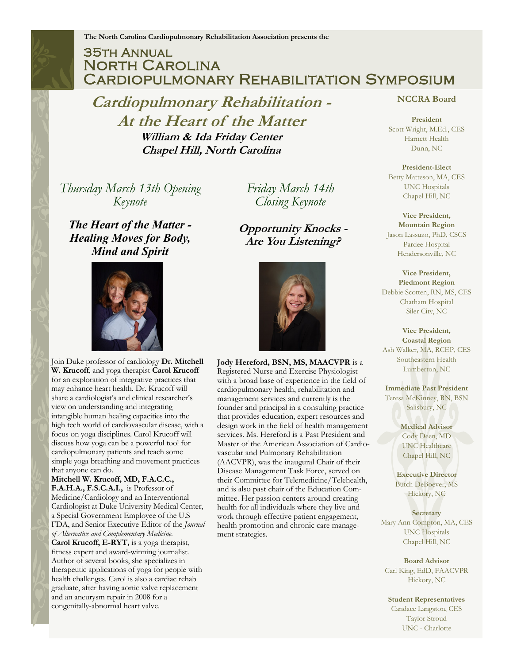## 35th Annual North Carolina Cardiopulmonary Rehabilitation Symposium

**Cardiopulmonary Rehabilitation - At the Heart of the Matter William & Ida Friday Center Chapel Hill, North Carolina**

*Thursday March 13th Opening Keynote*

*The Heart of the Matter - Healing Moves for Body, Mind and Spirit*



Join Duke professor of cardiology **Dr. Mitchell W. Krucoff**, and yoga therapist **Carol Krucoff**  for an exploration of integrative practices that may enhance heart health. Dr. Krucoff will share a cardiologist's and clinical researcher's view on understanding and integrating intangible human healing capacities into the high tech world of cardiovascular disease, with a focus on yoga disciplines. Carol Krucoff will discuss how yoga can be a powerful tool for cardiopulmonary patients and teach some simple yoga breathing and movement practices that anyone can do.

**Mitchell W. Krucoff, MD, F.A.C.C., F.A.H.A., F.S.C.A.I.,** is Professor of Medicine/Cardiology and an Interventional Cardiologist at Duke University Medical Center, a Special Government Employee of the U.S FDA, and Senior Executive Editor of the *Journal of Alternative and Complementary Medicine*. **Carol Krucoff, E-RYT,** is a yoga therapist, fitness expert and award-winning journalist. Author of several books, she specializes in therapeutic applications of yoga for people with health challenges. Carol is also a cardiac rehab graduate, after having aortic valve replacement and an aneurysm repair in 2008 for a congenitally-abnormal heart valve.

*Friday March 14th Closing Keynote*

**Opportunity Knocks - Are You Listening?**



**Jody Hereford, BSN, MS, MAACVPR** is a Registered Nurse and Exercise Physiologist with a broad base of experience in the field of cardiopulmonary health, rehabilitation and management services and currently is the founder and principal in a consulting practice that provides education, expert resources and design work in the field of health management services. Ms. Hereford is a Past President and Master of the American Association of Cardiovascular and Pulmonary Rehabilitation (AACVPR), was the inaugural Chair of their Disease Management Task Force, served on their Committee for Telemedicine/Telehealth, and is also past chair of the Education Committee. Her passion centers around creating health for all individuals where they live and work through effective patient engagement, health promotion and chronic care management strategies.

#### **NCCRA Board**

**President** Scott Wright, M.Ed., CES Harnett Health Dunn, NC

**President-Elect** Betty Matteson, MA, CES UNC Hospitals Chapel Hill, NC

**Vice President, Mountain Region** Jason Lassuzo, PhD, CSCS Pardee Hospital Hendersonville, NC

**Vice President, Piedmont Region** Debbie Scotten, RN, MS, CES Chatham Hospital Siler City, NC

**Vice President, Coastal Region** Ash Walker, MA, RCEP, CES Southeastern Health Lumberton, NC

**Immediate Past President** Teresa McKinney, RN, BSN Salisbury, NC

> **Medical Advisor** Cody Deen, MD UNC Healthcare Chapel Hill, NC

**Executive Director** Butch DeBoever, MS Hickory, NC

**Secretary**

Mary Ann Compton, MA, CES UNC Hospitals Chapel Hill, NC

**Board Advisor** Carl King, EdD, FAACVPR Hickory, NC

**Student Representatives** Candace Langston, CES Taylor Stroud UNC - Charlotte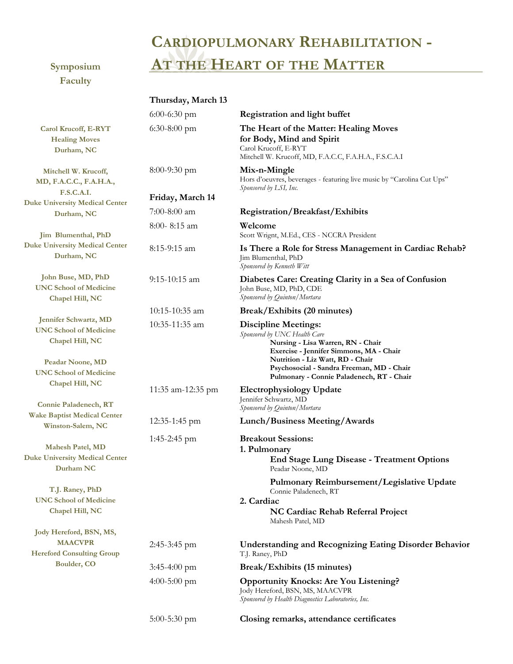# **CARDIOPULMONARY REHABILITATION - Symposium AT THE HEART OF THE MATTER**

**Faculty**

|                                                                                                                                | Thursday, March 13 |                                                                                                                                                                                                                              |  |
|--------------------------------------------------------------------------------------------------------------------------------|--------------------|------------------------------------------------------------------------------------------------------------------------------------------------------------------------------------------------------------------------------|--|
|                                                                                                                                | $6:00-6:30$ pm     | <b>Registration and light buffet</b>                                                                                                                                                                                         |  |
| Carol Krucoff, E-RYT<br><b>Healing Moves</b><br>Durham, NC                                                                     | $6:30-8:00$ pm     | The Heart of the Matter: Healing Moves<br>for Body, Mind and Spirit<br>Carol Krucoff, E-RYT<br>Mitchell W. Krucoff, MD, F.A.C.C, F.A.H.A., F.S.C.A.I                                                                         |  |
| Mitchell W. Krucoff,<br>MD, F.A.C.C., F.A.H.A.,<br><b>F.S.C.A.I.</b>                                                           | $8:00-9:30$ pm     | Mix-n-Mingle<br>Hors d'oeuvres, beverages - featuring live music by "Carolina Cut Ups"<br>Sponsored by LSI, Inc.                                                                                                             |  |
| <b>Duke University Medical Center</b>                                                                                          | Friday, March 14   |                                                                                                                                                                                                                              |  |
| Durham, NC                                                                                                                     | $7:00-8:00$ am     | Registration/Breakfast/Exhibits                                                                                                                                                                                              |  |
| Jim Blumenthal, PhD                                                                                                            | 8:00-8:15 am       | Welcome<br>Scott Wrignt, M.Ed., CES - NCCRA President                                                                                                                                                                        |  |
| <b>Duke University Medical Center</b><br>Durham, NC                                                                            | 8:15-9:15 am       | Is There a Role for Stress Management in Cardiac Rehab?<br>Jim Blumenthal, PhD<br>Sponsored by Kenneth Witt                                                                                                                  |  |
| John Buse, MD, PhD<br><b>UNC School of Medicine</b><br>Chapel Hill, NC                                                         | 9:15-10:15 am      | Diabetes Care: Creating Clarity in a Sea of Confusion<br>John Buse, MD, PhD, CDE<br>Sponsored by Quinton/Mortara                                                                                                             |  |
|                                                                                                                                | 10:15-10:35 am     | Break/Exhibits (20 minutes)                                                                                                                                                                                                  |  |
| Jennifer Schwartz, MD<br><b>UNC School of Medicine</b><br>Chapel Hill, NC<br>Peadar Noone, MD<br><b>UNC School of Medicine</b> | 10:35-11:35 am     | <b>Discipline Meetings:</b><br>Sponsored by UNC Health Care<br>Nursing - Lisa Warren, RN - Chair<br>Exercise - Jennifer Simmons, MA - Chair<br>Nutrition - Liz Watt, RD - Chair<br>Psychosocial - Sandra Freeman, MD - Chair |  |
| Chapel Hill, NC                                                                                                                |                    | Pulmonary - Connie Paladenech, RT - Chair                                                                                                                                                                                    |  |
| Connie Paladenech, RT                                                                                                          | 11:35 am-12:35 pm  | <b>Electrophysiology Update</b><br>Jennifer Schwartz, MD<br>Sponsored by Quinton/Mortara                                                                                                                                     |  |
| <b>Wake Baptist Medical Center</b><br>Winston-Salem, NC                                                                        | $12:35-1:45$ pm    | Lunch/Business Meeting/Awards                                                                                                                                                                                                |  |
| <b>Mahesh Patel, MD</b><br><b>Duke University Medical Center</b><br>Durham NC                                                  | $1:45-2:45$ pm     | <b>Breakout Sessions:</b><br>1. Pulmonary<br><b>End Stage Lung Disease - Treatment Options</b><br>Peadar Noone, MD                                                                                                           |  |
| T.J. Raney, PhD<br><b>UNC School of Medicine</b><br>Chapel Hill, NC                                                            |                    | Pulmonary Reimbursement/Legislative Update<br>Connie Paladenech, RT<br>2. Cardiac<br>NC Cardiac Rehab Referral Project<br>Mahesh Patel, MD                                                                                   |  |
| Jody Hereford, BSN, MS,                                                                                                        |                    |                                                                                                                                                                                                                              |  |
| <b>MAACVPR</b><br><b>Hereford Consulting Group</b>                                                                             | $2:45-3:45$ pm     | <b>Understanding and Recognizing Eating Disorder Behavior</b><br>T.J. Raney, PhD                                                                                                                                             |  |
| Boulder, CO                                                                                                                    | $3:45-4:00$ pm     | Break/Exhibits (15 minutes)                                                                                                                                                                                                  |  |
|                                                                                                                                | $4:00-5:00$ pm     | <b>Opportunity Knocks: Are You Listening?</b><br>Jody Hereford, BSN, MS, MAACVPR<br>Sponsored by Health Diagnostics Laboratories, Inc.                                                                                       |  |
|                                                                                                                                | 5:00-5:30 pm       | Closing remarks, attendance certificates                                                                                                                                                                                     |  |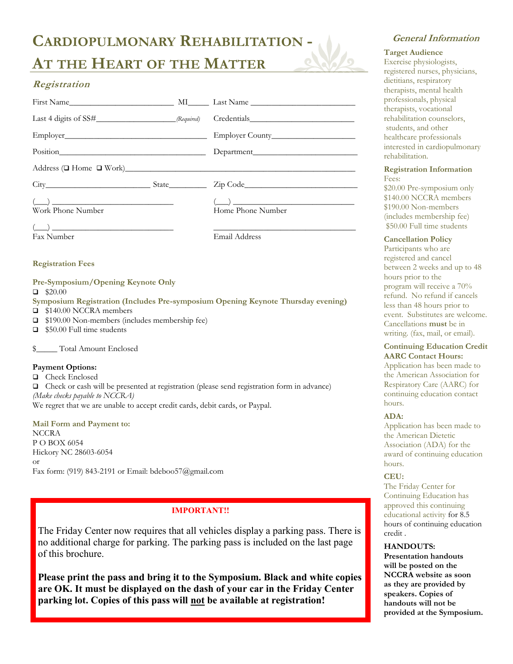## **CARDIOPULMONARY REHABILITATION -**

## **AT THE HEART OF THE MATTER**

### **Registration**

| Address ( $\Box$ Home $\Box$ Work) |  |                   |  |  |
|------------------------------------|--|-------------------|--|--|
| $City$ State                       |  |                   |  |  |
| Work Phone Number                  |  | Home Phone Number |  |  |
| Fax Number                         |  | Email Address     |  |  |
| <b>Registration Fees</b>           |  |                   |  |  |
| Pre-Symposium/Opening Keynote Only |  |                   |  |  |

 $\Box$  \$20.00

**Symposium Registration (Includes Pre-symposium Opening Keynote Thursday evening)**  ■ \$140.00 NCCRA members

- □ \$190.00 Non-members (includes membership fee)
- \$50.00 Full time students

\$\_\_\_\_\_ Total Amount Enclosed

#### **Payment Options:**

□ Check Enclosed Check or cash will be presented at registration (please send registration form in advance) *(Make checks payable to NCCRA)* We regret that we are unable to accept credit cards, debit cards, or Paypal.

**Mail Form and Payment to: NCCRA** P O BOX 6054 Hickory NC 28603-6054 or Fax form: (919) 843-2191 or Email: bdeboo57@gmail.com

#### **IMPORTANT!!**

The Friday Center now requires that all vehicles display a parking pass. There is no additional charge for parking. The parking pass is included on the last page of this brochure.

**Please print the pass and bring it to the Symposium. Black and white copies are OK. It must be displayed on the dash of your car in the Friday Center parking lot. Copies of this pass will not be available at registration!**

#### **General Information**

#### **Target Audience**

Exercise physiologists, registered nurses, physicians, dietitians, respiratory therapists, mental health professionals, physical therapists, vocational rehabilitation counselors, students, and other healthcare professionals interested in cardiopulmonary rehabilitation.

#### **Registration Information**  Fees:

\$20.00 Pre-symposium only \$140.00 NCCRA members \$190.00 Non-members (includes membership fee) \$50.00 Full time students

#### **Cancellation Policy**

Participants who are registered and cancel between 2 weeks and up to 48 hours prior to the program will receive a 70% refund. No refund if cancels less than 48 hours prior to event. Substitutes are welcome. Cancellations **must** be in writing. (fax, mail, or email).

#### **Continuing Education Credit AARC Contact Hours:**

Application has been made to the American Association for Respiratory Care (AARC) for continuing education contact hours.

#### **ADA:**

Application has been made to the American Dietetic Association (ADA) for the award of continuing education hours.

#### **CEU:**

The Friday Center for Continuing Education has approved this continuing educational activity for 8.5 hours of continuing education credit .

#### **HANDOUTS:**

**Presentation handouts will be posted on the NCCRA website as soon as they are provided by speakers. Copies of handouts will not be provided at the Symposium.**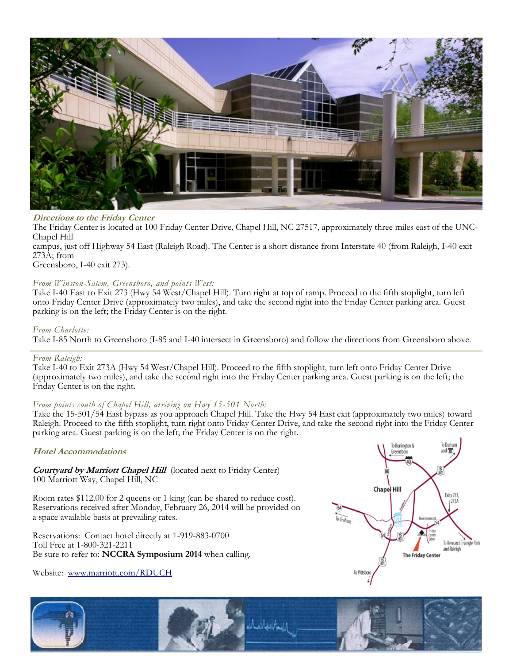

#### **Directions to the Friday Center**

The Friday Center is located at 100 Friday Center Drive, Chapel Hill, NC 27517, approximately three miles east of the UNC-Chapel Hill

campus, just off Highway 54 East (Raleigh Road). The Center is a short distance from Interstate 40 (from Raleigh, I-40 exit 273A; from

Greensboro, I-40 exit 273).

#### *From Winston-Salem, Greensboro, and points West:*

Take I-40 East to Exit 273 (Hwy 54 West/Chapel Hill). Turn right at top of ramp. Proceed to the fifth stoplight, turn left onto Friday Center Drive (approximately two miles), and take the second right into the Friday Center parking area. Guest parking is on the left; the Friday Center is on the right.

#### *From Charlotte:*

Take I-85 North to Greensboro (I-85 and I-40 intersect in Greensboro) and follow the directions from Greensboro above.

#### *From Raleigh:*

Take I-40 to Exit 273A (Hwy 54 West/Chapel Hill). Proceed to the fifth stoplight, turn left onto Friday Center Drive (approximately two miles), and take the second right into the Friday Center parking area. Guest parking is on the left; the Friday Center is on the right.

#### *From points south of Chapel Hill, arriving on Hwy 15-501 North:*

Take the 15-501/54 East bypass as you approach Chapel Hill. Take the Hwy 54 East exit (approximately two miles) toward Raleigh. Proceed to the fifth stoplight, turn right onto Friday Center Drive, and take the second right into the Friday Center parking area. Guest parking is on the left; the Friday Center is on the right.

#### **Hotel Accommodations**

**Courtyard by Marriott Chapel Hill** (located next to Friday Center) 100 Marriott Way, Chapel Hill, NC

Room rates \$112.00 for 2 queens or 1 king (can be shared to reduce cost). Reservations received after Monday, February 26, 2014 will be provided on a space available basis at prevailing rates.

Reservations: Contact hotel directly at 1-919-883-0700 Toll Free at 1-800-321-2211 Be sure to refer to: **NCCRA Symposium 2014** when calling.

Website: [www.marriott.com/RDUCH](http://www.marriott.com/RDUCH)